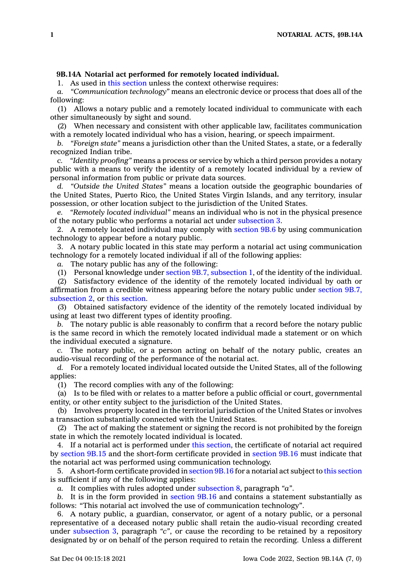## **9B.14A Notarial act performed for remotely located individual.**

1. As used in this [section](https://www.legis.iowa.gov/docs/code/9B.14A.pdf) unless the context otherwise requires:

*a. "Communication technology"* means an electronic device or process that does all of the following:

(1) Allows <sup>a</sup> notary public and <sup>a</sup> remotely located individual to communicate with each other simultaneously by sight and sound.

(2) When necessary and consistent with other applicable law, facilitates communication with <sup>a</sup> remotely located individual who has <sup>a</sup> vision, hearing, or speech impairment.

*b. "Foreign state"* means <sup>a</sup> jurisdiction other than the United States, <sup>a</sup> state, or <sup>a</sup> federally recognized Indian tribe.

*c. "Identity proofing"* means <sup>a</sup> process or service by which <sup>a</sup> third person provides <sup>a</sup> notary public with <sup>a</sup> means to verify the identity of <sup>a</sup> remotely located individual by <sup>a</sup> review of personal information from public or private data sources.

*d. "Outside the United States"* means <sup>a</sup> location outside the geographic boundaries of the United States, Puerto Rico, the United States Virgin Islands, and any territory, insular possession, or other location subject to the jurisdiction of the United States.

*e. "Remotely located individual"* means an individual who is not in the physical presence of the notary public who performs <sup>a</sup> notarial act under [subsection](https://www.legis.iowa.gov/docs/code/9B.14A.pdf) 3.

2. A remotely located individual may comply with [section](https://www.legis.iowa.gov/docs/code/9B.6.pdf) 9B.6 by using communication technology to appear before <sup>a</sup> notary public.

3. A notary public located in this state may perform <sup>a</sup> notarial act using communication technology for <sup>a</sup> remotely located individual if all of the following applies:

*a.* The notary public has any of the following:

(1) Personal knowledge under section 9B.7, [subsection](https://www.legis.iowa.gov/docs/code/9B.7.pdf) 1, of the identity of the individual.

(2) Satisfactory evidence of the identity of the remotely located individual by oath or affirmation from <sup>a</sup> credible witness appearing before the notary public under [section](https://www.legis.iowa.gov/docs/code/9B.7.pdf) 9B.7, [subsection](https://www.legis.iowa.gov/docs/code/9B.7.pdf) 2, or this [section](https://www.legis.iowa.gov/docs/code/9B.14A.pdf).

(3) Obtained satisfactory evidence of the identity of the remotely located individual by using at least two different types of identity proofing.

*b.* The notary public is able reasonably to confirm that <sup>a</sup> record before the notary public is the same record in which the remotely located individual made <sup>a</sup> statement or on which the individual executed <sup>a</sup> signature.

*c.* The notary public, or <sup>a</sup> person acting on behalf of the notary public, creates an audio-visual recording of the performance of the notarial act.

*d.* For <sup>a</sup> remotely located individual located outside the United States, all of the following applies:

(1) The record complies with any of the following:

(a) Is to be filed with or relates to <sup>a</sup> matter before <sup>a</sup> public official or court, governmental entity, or other entity subject to the jurisdiction of the United States.

(b) Involves property located in the territorial jurisdiction of the United States or involves <sup>a</sup> transaction substantially connected with the United States.

(2) The act of making the statement or signing the record is not prohibited by the foreign state in which the remotely located individual is located.

4. If <sup>a</sup> notarial act is performed under this [section](https://www.legis.iowa.gov/docs/code/9B.14A.pdf), the certificate of notarial act required by [section](https://www.legis.iowa.gov/docs/code/9B.15.pdf) 9B.15 and the short-form certificate provided in [section](https://www.legis.iowa.gov/docs/code/9B.16.pdf) 9B.16 must indicate that the notarial act was performed using communication technology.

5. A short-form certificate provided in [section](https://www.legis.iowa.gov/docs/code/9B.16.pdf) 9B.16 for <sup>a</sup> notarial act subject to this [section](https://www.legis.iowa.gov/docs/code/9B.14A.pdf) is sufficient if any of the following applies:

*a.* It complies with rules adopted under [subsection](https://www.legis.iowa.gov/docs/code/9B.14A.pdf) 8, paragraph *"a"*.

*b.* It is in the form provided in [section](https://www.legis.iowa.gov/docs/code/9B.16.pdf) 9B.16 and contains <sup>a</sup> statement substantially as follows: "This notarial act involved the use of communication technology".

6. A notary public, <sup>a</sup> guardian, conservator, or agent of <sup>a</sup> notary public, or <sup>a</sup> personal representative of <sup>a</sup> deceased notary public shall retain the audio-visual recording created under [subsection](https://www.legis.iowa.gov/docs/code/9B.14A.pdf) 3, paragraph *"c"*, or cause the recording to be retained by <sup>a</sup> repository designated by or on behalf of the person required to retain the recording. Unless <sup>a</sup> different